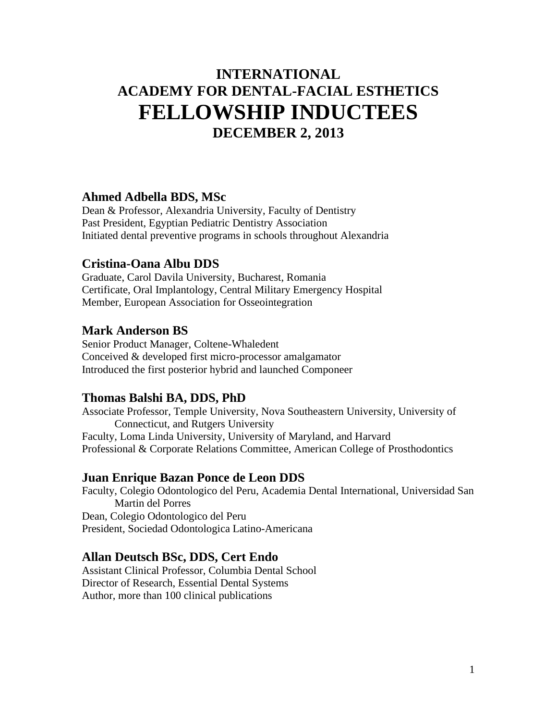# **INTERNATIONAL ACADEMY FOR DENTAL-FACIAL ESTHETICS FELLOWSHIP INDUCTEES DECEMBER 2, 2013**

#### **Ahmed Adbella BDS, MSc**

Dean & Professor, Alexandria University, Faculty of Dentistry Past President, Egyptian Pediatric Dentistry Association Initiated dental preventive programs in schools throughout Alexandria

#### **Cristina-Oana Albu DDS**

Graduate, Carol Davila University, Bucharest, Romania Certificate, Oral Implantology, Central Military Emergency Hospital Member, European Association for Osseointegration

#### **Mark Anderson BS**

Senior Product Manager, Coltene-Whaledent Conceived & developed first micro-processor amalgamator Introduced the first posterior hybrid and launched Componeer

#### **Thomas Balshi BA, DDS, PhD**

Associate Professor, Temple University, Nova Southeastern University, University of Connecticut, and Rutgers University Faculty, Loma Linda University, University of Maryland, and Harvard Professional & Corporate Relations Committee, American College of Prosthodontics

#### **Juan Enrique Bazan Ponce de Leon DDS**

Faculty, Colegio Odontologico del Peru, Academia Dental International, Universidad San Martin del Porres Dean, Colegio Odontologico del Peru President, Sociedad Odontologica Latino-Americana

#### **Allan Deutsch BSc, DDS, Cert Endo**

Assistant Clinical Professor, Columbia Dental School Director of Research, Essential Dental Systems Author, more than 100 clinical publications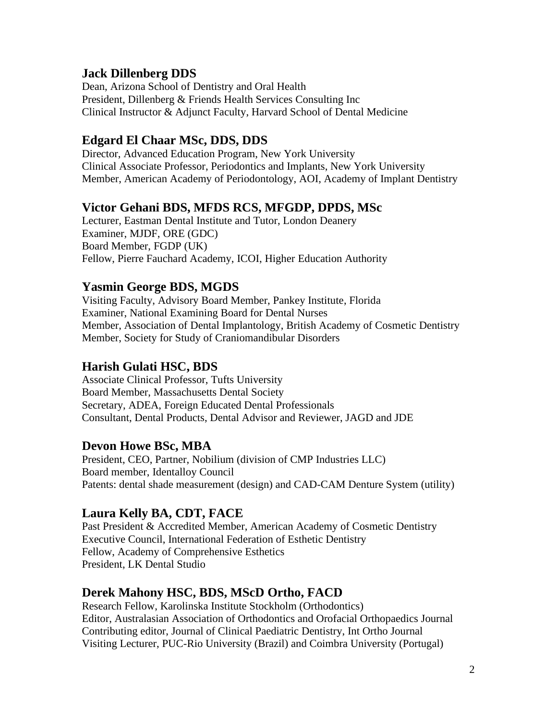#### **Jack Dillenberg DDS**

Dean, Arizona School of Dentistry and Oral Health President, Dillenberg & Friends Health Services Consulting Inc Clinical Instructor & Adjunct Faculty, Harvard School of Dental Medicine

#### **Edgard El Chaar MSc, DDS, DDS**

Director, Advanced Education Program, New York University Clinical Associate Professor, Periodontics and Implants, New York University Member, American Academy of Periodontology, AOI, Academy of Implant Dentistry

#### **Victor Gehani BDS, MFDS RCS, MFGDP, DPDS, MSc**

Lecturer, Eastman Dental Institute and Tutor, London Deanery Examiner, MJDF, ORE (GDC) Board Member, FGDP (UK) Fellow, Pierre Fauchard Academy, ICOI, Higher Education Authority

# **Yasmin George BDS, MGDS**

Visiting Faculty, Advisory Board Member, Pankey Institute, Florida Examiner, National Examining Board for Dental Nurses Member, Association of Dental Implantology, British Academy of Cosmetic Dentistry Member, Society for Study of Craniomandibular Disorders

# **Harish Gulati HSC, BDS**

Associate Clinical Professor, Tufts University Board Member, Massachusetts Dental Society Secretary, ADEA, Foreign Educated Dental Professionals Consultant, Dental Products, Dental Advisor and Reviewer, JAGD and JDE

# **Devon Howe BSc, MBA**

President, CEO, Partner, Nobilium (division of CMP Industries LLC) Board member, Identalloy Council Patents: dental shade measurement (design) and CAD-CAM Denture System (utility)

# **Laura Kelly BA, CDT, FACE**

Past President & Accredited Member, American Academy of Cosmetic Dentistry Executive Council, International Federation of Esthetic Dentistry Fellow, Academy of Comprehensive Esthetics President, LK Dental Studio

# **Derek Mahony HSC, BDS, MScD Ortho, FACD**

Research Fellow, Karolinska Institute Stockholm (Orthodontics) Editor, Australasian Association of Orthodontics and Orofacial Orthopaedics Journal Contributing editor, Journal of Clinical Paediatric Dentistry, Int Ortho Journal Visiting Lecturer, PUC-Rio University (Brazil) and Coimbra University (Portugal)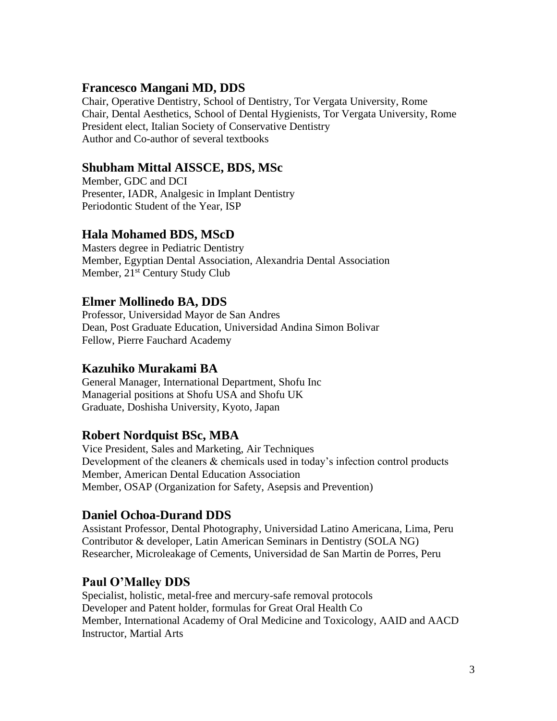# **Francesco Mangani MD, DDS**

Chair, Operative Dentistry, School of Dentistry, Tor Vergata University, Rome Chair, Dental Aesthetics, School of Dental Hygienists, Tor Vergata University, Rome President elect, Italian Society of Conservative Dentistry Author and Co-author of several textbooks

# **Shubham Mittal AISSCE, BDS, MSc**

Member, GDC and DCI Presenter, IADR, Analgesic in Implant Dentistry Periodontic Student of the Year, ISP

# **Hala Mohamed BDS, MScD**

Masters degree in Pediatric Dentistry Member, Egyptian Dental Association, Alexandria Dental Association Member, 21<sup>st</sup> Century Study Club

# **Elmer Mollinedo BA, DDS**

Professor, Universidad Mayor de San Andres Dean, Post Graduate Education, Universidad Andina Simon Bolivar Fellow, Pierre Fauchard Academy

# **Kazuhiko Murakami BA**

General Manager, International Department, Shofu Inc Managerial positions at Shofu USA and Shofu UK Graduate, Doshisha University, Kyoto, Japan

# **Robert Nordquist BSc, MBA**

Vice President, Sales and Marketing, Air Techniques Development of the cleaners & chemicals used in today's infection control products Member, American Dental Education Association Member, OSAP (Organization for Safety, Asepsis and Prevention)

# **Daniel Ochoa-Durand DDS**

Assistant Professor, Dental Photography, Universidad Latino Americana, Lima, Peru Contributor & developer, Latin American Seminars in Dentistry (SOLA NG) Researcher, Microleakage of Cements, Universidad de San Martin de Porres, Peru

# **Paul O'Malley DDS**

Specialist, holistic, metal-free and mercury-safe removal protocols Developer and Patent holder, formulas for Great Oral Health Co Member, International Academy of Oral Medicine and Toxicology, AAID and AACD Instructor, Martial Arts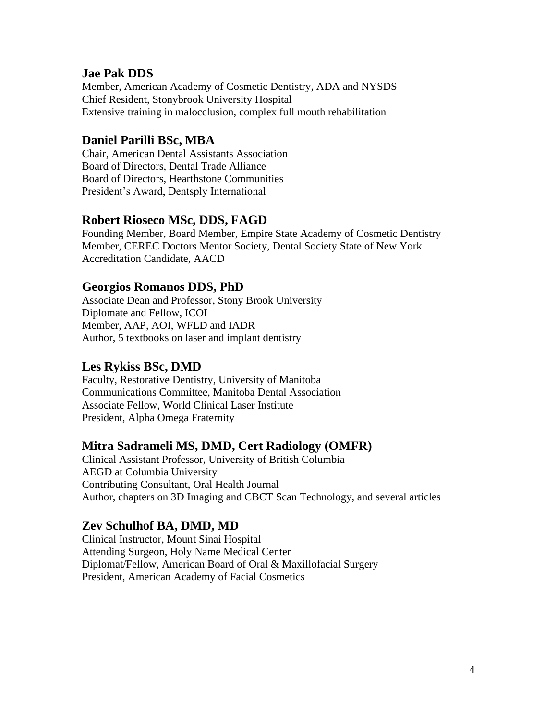#### **Jae Pak DDS**

Member, American Academy of Cosmetic Dentistry, ADA and NYSDS Chief Resident, Stonybrook University Hospital Extensive training in malocclusion, complex full mouth rehabilitation

#### **Daniel Parilli BSc, MBA**

Chair, American Dental Assistants Association Board of Directors, Dental Trade Alliance Board of Directors, Hearthstone Communities President's Award, Dentsply International

#### **Robert Rioseco MSc, DDS, FAGD**

Founding Member, Board Member, Empire State Academy of Cosmetic Dentistry Member, CEREC Doctors Mentor Society, Dental Society State of New York Accreditation Candidate, AACD

#### **Georgios Romanos DDS, PhD**

Associate Dean and Professor, Stony Brook University Diplomate and Fellow, ICOI Member, AAP, AOI, WFLD and IADR Author, 5 textbooks on laser and implant dentistry

#### **Les Rykiss BSc, DMD**

Faculty, Restorative Dentistry, University of Manitoba Communications Committee, Manitoba Dental Association Associate Fellow, World Clinical Laser Institute President, Alpha Omega Fraternity

#### **Mitra Sadrameli MS, DMD, Cert Radiology (OMFR)**

Clinical Assistant Professor, University of British Columbia AEGD at Columbia University Contributing Consultant, Oral Health Journal Author, chapters on 3D Imaging and CBCT Scan Technology, and several articles

#### **Zev Schulhof BA, DMD, MD**

Clinical Instructor, Mount Sinai Hospital Attending Surgeon, Holy Name Medical Center Diplomat/Fellow, American Board of Oral & Maxillofacial Surgery President, American Academy of Facial Cosmetics